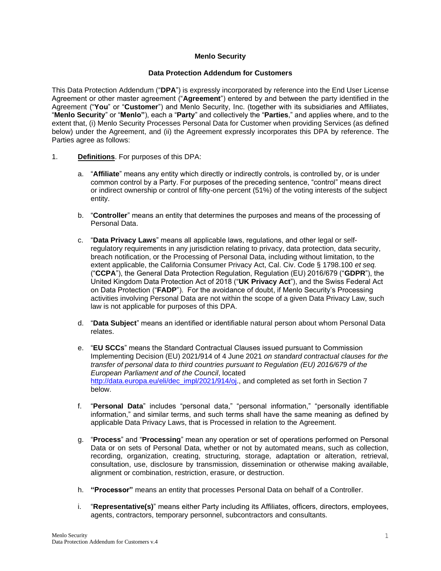## **Menlo Security**

### **Data Protection Addendum for Customers**

This Data Protection Addendum ("**DPA**") is expressly incorporated by reference into the End User License Agreement or other master agreement ("**Agreement**") entered by and between the party identified in the Agreement ("**You**" or "**Customer**") and Menlo Security, Inc. (together with its subsidiaries and Affiliates, "**Menlo Security**" or "**Menlo"**), each a "**Party**" and collectively the "**Parties**," and applies where, and to the extent that, (i) Menlo Security Processes Personal Data for Customer when providing Services (as defined below) under the Agreement, and (ii) the Agreement expressly incorporates this DPA by reference. The Parties agree as follows:

- 1. **Definitions**. For purposes of this DPA:
	- a. "**Affiliate**" means any entity which directly or indirectly controls, is controlled by, or is under common control by a Party. For purposes of the preceding sentence, "control" means direct or indirect ownership or control of fifty-one percent (51%) of the voting interests of the subject entity.
	- b. "**Controller**" means an entity that determines the purposes and means of the processing of Personal Data.
	- c. "**Data Privacy Laws**" means all applicable laws, regulations, and other legal or selfregulatory requirements in any jurisdiction relating to privacy, data protection, data security, breach notification, or the Processing of Personal Data, including without limitation, to the extent applicable, the California Consumer Privacy Act, Cal. Civ. Code § 1798.100 *et seq.* ("**CCPA**"), the General Data Protection Regulation, Regulation (EU) 2016/679 ("**GDPR**"), the United Kingdom Data Protection Act of 2018 ("**UK Privacy Act**"), and the Swiss Federal Act on Data Protection ("**FADP**"). For the avoidance of doubt, if Menlo Security's Processing activities involving Personal Data are not within the scope of a given Data Privacy Law, such law is not applicable for purposes of this DPA.
	- d. "**Data Subject**" means an identified or identifiable natural person about whom Personal Data relates.
	- e. "**EU SCCs**" means the Standard Contractual Clauses issued pursuant to Commission Implementing Decision (EU) 2021/914 of 4 June 2021 *on standard contractual clauses for the transfer of personal data to third countries pursuant to Regulation (EU) 2016/679 of the European Parliament and of the Council*, located [http://data.europa.eu/eli/dec\\_impl/2021/914/oj.](http://data.europa.eu/eli/dec_impl/2021/914/oj), and completed as set forth in Section 7 below.
	- f. "**Personal Data**" includes "personal data," "personal information," "personally identifiable information," and similar terms, and such terms shall have the same meaning as defined by applicable Data Privacy Laws, that is Processed in relation to the Agreement.
	- g. "**Process**" and "**Processing**" mean any operation or set of operations performed on Personal Data or on sets of Personal Data, whether or not by automated means, such as collection, recording, organization, creating, structuring, storage, adaptation or alteration, retrieval, consultation, use, disclosure by transmission, dissemination or otherwise making available, alignment or combination, restriction, erasure, or destruction.
	- h. **"Processor"** means an entity that processes Personal Data on behalf of a Controller.
	- i. "**Representative(s)**" means either Party including its Affiliates, officers, directors, employees, agents, contractors, temporary personnel, subcontractors and consultants.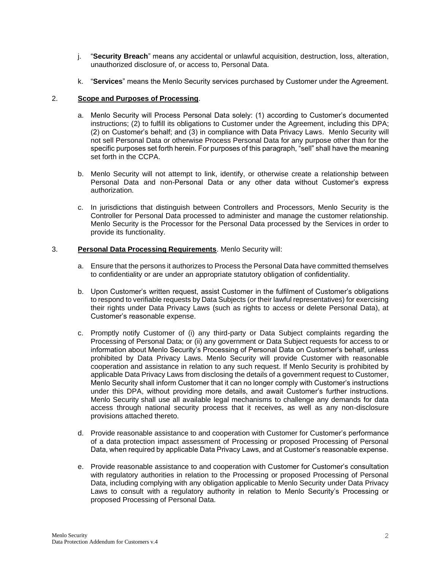- j. "**Security Breach**" means any accidental or unlawful acquisition, destruction, loss, alteration, unauthorized disclosure of, or access to, Personal Data.
- k. "**Services**" means the Menlo Security services purchased by Customer under the Agreement.

## 2. **Scope and Purposes of Processing**.

- a. Menlo Security will Process Personal Data solely: (1) according to Customer's documented instructions; (2) to fulfill its obligations to Customer under the Agreement, including this DPA; (2) on Customer's behalf; and (3) in compliance with Data Privacy Laws. Menlo Security will not sell Personal Data or otherwise Process Personal Data for any purpose other than for the specific purposes set forth herein. For purposes of this paragraph, "sell" shall have the meaning set forth in the CCPA.
- b. Menlo Security will not attempt to link, identify, or otherwise create a relationship between Personal Data and non-Personal Data or any other data without Customer's express authorization.
- c. In jurisdictions that distinguish between Controllers and Processors, Menlo Security is the Controller for Personal Data processed to administer and manage the customer relationship. Menlo Security is the Processor for the Personal Data processed by the Services in order to provide its functionality.

## 3. **Personal Data Processing Requirements**. Menlo Security will:

- a. Ensure that the persons it authorizes to Process the Personal Data have committed themselves to confidentiality or are under an appropriate statutory obligation of confidentiality.
- b. Upon Customer's written request, assist Customer in the fulfilment of Customer's obligations to respond to verifiable requests by Data Subjects (or their lawful representatives) for exercising their rights under Data Privacy Laws (such as rights to access or delete Personal Data), at Customer's reasonable expense.
- c. Promptly notify Customer of (i) any third-party or Data Subject complaints regarding the Processing of Personal Data; or (ii) any government or Data Subject requests for access to or information about Menlo Security's Processing of Personal Data on Customer's behalf, unless prohibited by Data Privacy Laws. Menlo Security will provide Customer with reasonable cooperation and assistance in relation to any such request. If Menlo Security is prohibited by applicable Data Privacy Laws from disclosing the details of a government request to Customer, Menlo Security shall inform Customer that it can no longer comply with Customer's instructions under this DPA, without providing more details, and await Customer's further instructions. Menlo Security shall use all available legal mechanisms to challenge any demands for data access through national security process that it receives, as well as any non-disclosure provisions attached thereto.
- d. Provide reasonable assistance to and cooperation with Customer for Customer's performance of a data protection impact assessment of Processing or proposed Processing of Personal Data, when required by applicable Data Privacy Laws, and at Customer's reasonable expense.
- e. Provide reasonable assistance to and cooperation with Customer for Customer's consultation with regulatory authorities in relation to the Processing or proposed Processing of Personal Data, including complying with any obligation applicable to Menlo Security under Data Privacy Laws to consult with a regulatory authority in relation to Menlo Security's Processing or proposed Processing of Personal Data.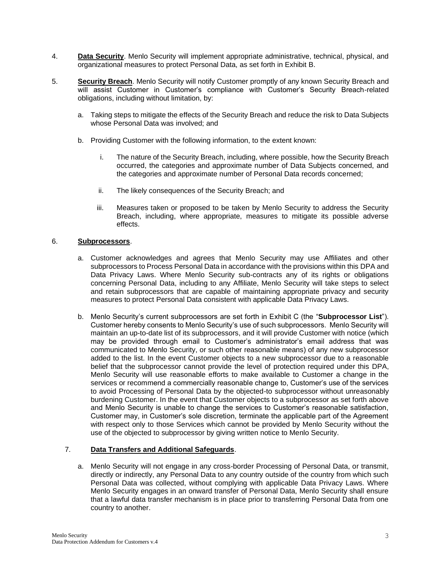- 4. **Data Security**. Menlo Security will implement appropriate administrative, technical, physical, and organizational measures to protect Personal Data, as set forth in Exhibit B.
- 5. **Security Breach**. Menlo Security will notify Customer promptly of any known Security Breach and will assist Customer in Customer's compliance with Customer's Security Breach-related obligations, including without limitation, by:
	- a. Taking steps to mitigate the effects of the Security Breach and reduce the risk to Data Subjects whose Personal Data was involved; and
	- b. Providing Customer with the following information, to the extent known:
		- i. The nature of the Security Breach, including, where possible, how the Security Breach occurred, the categories and approximate number of Data Subjects concerned, and the categories and approximate number of Personal Data records concerned;
		- ii. The likely consequences of the Security Breach; and
		- iii. Measures taken or proposed to be taken by Menlo Security to address the Security Breach, including, where appropriate, measures to mitigate its possible adverse effects.

## 6. **Subprocessors**.

- a. Customer acknowledges and agrees that Menlo Security may use Affiliates and other subprocessors to Process Personal Data in accordance with the provisions within this DPA and Data Privacy Laws. Where Menlo Security sub-contracts any of its rights or obligations concerning Personal Data, including to any Affiliate, Menlo Security will take steps to select and retain subprocessors that are capable of maintaining appropriate privacy and security measures to protect Personal Data consistent with applicable Data Privacy Laws.
- b. Menlo Security's current subprocessors are set forth in Exhibit C (the "**Subprocessor List**"). Customer hereby consents to Menlo Security's use of such subprocessors. Menlo Security will maintain an up-to-date list of its subprocessors, and it will provide Customer with notice (which may be provided through email to Customer's administrator's email address that was communicated to Menlo Security, or such other reasonable means) of any new subprocessor added to the list. In the event Customer objects to a new subprocessor due to a reasonable belief that the subprocessor cannot provide the level of protection required under this DPA, Menlo Security will use reasonable efforts to make available to Customer a change in the services or recommend a commercially reasonable change to, Customer's use of the services to avoid Processing of Personal Data by the objected-to subprocessor without unreasonably burdening Customer. In the event that Customer objects to a subprocessor as set forth above and Menlo Security is unable to change the services to Customer's reasonable satisfaction, Customer may, in Customer's sole discretion, terminate the applicable part of the Agreement with respect only to those Services which cannot be provided by Menlo Security without the use of the objected to subprocessor by giving written notice to Menlo Security.

## 7. **Data Transfers and Additional Safeguards**.

a. Menlo Security will not engage in any cross-border Processing of Personal Data, or transmit, directly or indirectly, any Personal Data to any country outside of the country from which such Personal Data was collected, without complying with applicable Data Privacy Laws. Where Menlo Security engages in an onward transfer of Personal Data, Menlo Security shall ensure that a lawful data transfer mechanism is in place prior to transferring Personal Data from one country to another.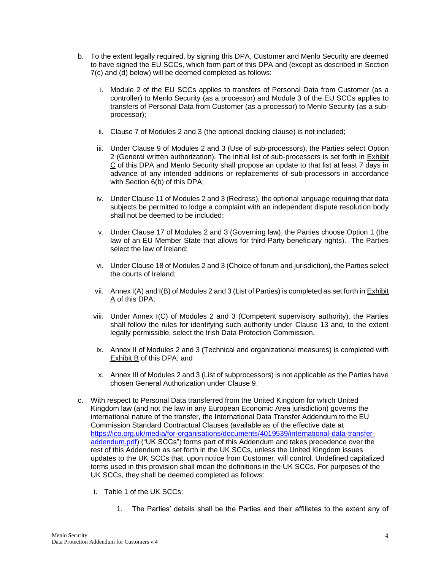- b. To the extent legally required, by signing this DPA, Customer and Menlo Security are deemed to have signed the EU SCCs, which form part of this DPA and (except as described in Section 7(c) and (d) below) will be deemed completed as follows:
	- i. Module 2 of the EU SCCs applies to transfers of Personal Data from Customer (as a controller) to Menlo Security (as a processor) and Module 3 of the EU SCCs applies to transfers of Personal Data from Customer (as a processor) to Menlo Security (as a subprocessor);
	- ii. Clause 7 of Modules 2 and 3 (the optional docking clause) is not included;
	- iii. Under Clause 9 of Modules 2 and 3 (Use of sub-processors), the Parties select Option 2 (General written authorization). The initial list of sub-processors is set forth in Exhibit C of this DPA and Menlo Security shall propose an update to that list at least 7 days in advance of any intended additions or replacements of sub-processors in accordance with Section 6(b) of this DPA;
	- iv. Under Clause 11 of Modules 2 and 3 (Redress), the optional language requiring that data subjects be permitted to lodge a complaint with an independent dispute resolution body shall not be deemed to be included;
	- v. Under Clause 17 of Modules 2 and 3 (Governing law), the Parties choose Option 1 (the law of an EU Member State that allows for third-Party beneficiary rights). The Parties select the law of Ireland;
	- vi. Under Clause 18 of Modules 2 and 3 (Choice of forum and jurisdiction), the Parties select the courts of Ireland;
	- vii. Annex I(A) and I(B) of Modules 2 and 3 (List of Parties) is completed as set forth in Exhibit A of this DPA;
	- viii. Under Annex I(C) of Modules 2 and 3 (Competent supervisory authority), the Parties shall follow the rules for identifying such authority under Clause 13 and, to the extent legally permissible, select the Irish Data Protection Commission.
	- ix. Annex II of Modules 2 and 3 (Technical and organizational measures) is completed with Exhibit B of this DPA; and
	- x. Annex III of Modules 2 and 3 (List of subprocessors) is not applicable as the Parties have chosen General Authorization under Clause 9.
- c. With respect to Personal Data transferred from the United Kingdom for which United Kingdom law (and not the law in any European Economic Area jurisdiction) governs the international nature of the transfer, the International Data Transfer Addendum to the EU Commission Standard Contractual Clauses (available as of the effective date at [https://ico.org.uk/media/for-organisations/documents/4019539/international-data-transfer](https://ico.org.uk/media/for-organisations/documents/4019539/international-data-transfer-addendum.pdf)[addendum.pdf\)](https://ico.org.uk/media/for-organisations/documents/4019539/international-data-transfer-addendum.pdf) ("UK SCCs") forms part of this Addendum and takes precedence over the rest of this Addendum as set forth in the UK SCCs, unless the United Kingdom issues updates to the UK SCCs that, upon notice from Customer, will control. Undefined capitalized terms used in this provision shall mean the definitions in the UK SCCs. For purposes of the UK SCCs, they shall be deemed completed as follows:
	- i. Table 1 of the UK SCCs:
		- 1. The Parties' details shall be the Parties and their affiliates to the extent any of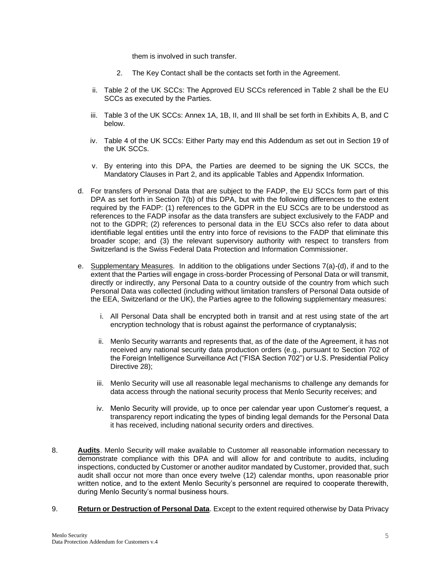them is involved in such transfer.

- 2. The Key Contact shall be the contacts set forth in the Agreement.
- ii. Table 2 of the UK SCCs: The Approved EU SCCs referenced in Table 2 shall be the EU SCCs as executed by the Parties.
- iii. Table 3 of the UK SCCs: Annex 1A, 1B, II, and III shall be set forth in Exhibits A, B, and C below.
- iv. Table 4 of the UK SCCs: Either Party may end this Addendum as set out in Section 19 of the UK SCCs.
- v. By entering into this DPA, the Parties are deemed to be signing the UK SCCs, the Mandatory Clauses in Part 2, and its applicable Tables and Appendix Information.
- d. For transfers of Personal Data that are subject to the FADP, the EU SCCs form part of this DPA as set forth in Section 7(b) of this DPA, but with the following differences to the extent required by the FADP: (1) references to the GDPR in the EU SCCs are to be understood as references to the FADP insofar as the data transfers are subject exclusively to the FADP and not to the GDPR; (2) references to personal data in the EU SCCs also refer to data about identifiable legal entities until the entry into force of revisions to the FADP that eliminate this broader scope; and (3) the relevant supervisory authority with respect to transfers from Switzerland is the Swiss Federal Data Protection and Information Commissioner.
- e. Supplementary Measures. In addition to the obligations under Sections 7(a)-(d), if and to the extent that the Parties will engage in cross-border Processing of Personal Data or will transmit, directly or indirectly, any Personal Data to a country outside of the country from which such Personal Data was collected (including without limitation transfers of Personal Data outside of the EEA, Switzerland or the UK), the Parties agree to the following supplementary measures:
	- i. All Personal Data shall be encrypted both in transit and at rest using state of the art encryption technology that is robust against the performance of cryptanalysis;
	- ii. Menlo Security warrants and represents that, as of the date of the Agreement, it has not received any national security data production orders (e.g., pursuant to Section 702 of the Foreign Intelligence Surveillance Act ("FISA Section 702") or U.S. Presidential Policy Directive 28);
	- iii. Menlo Security will use all reasonable legal mechanisms to challenge any demands for data access through the national security process that Menlo Security receives; and
	- iv. Menlo Security will provide, up to once per calendar year upon Customer's request, a transparency report indicating the types of binding legal demands for the Personal Data it has received, including national security orders and directives.
- 8. **Audits**. Menlo Security will make available to Customer all reasonable information necessary to demonstrate compliance with this DPA and will allow for and contribute to audits, including inspections, conducted by Customer or another auditor mandated by Customer, provided that, such audit shall occur not more than once every twelve (12) calendar months, upon reasonable prior written notice, and to the extent Menlo Security's personnel are required to cooperate therewith, during Menlo Security's normal business hours.
- 9. **Return or Destruction of Personal Data**. Except to the extent required otherwise by Data Privacy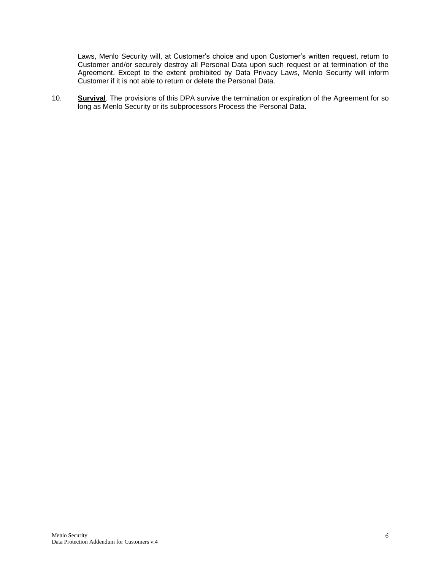Laws, Menlo Security will, at Customer's choice and upon Customer's written request, return to Customer and/or securely destroy all Personal Data upon such request or at termination of the Agreement. Except to the extent prohibited by Data Privacy Laws, Menlo Security will inform Customer if it is not able to return or delete the Personal Data.

10. **Survival**. The provisions of this DPA survive the termination or expiration of the Agreement for so long as Menlo Security or its subprocessors Process the Personal Data.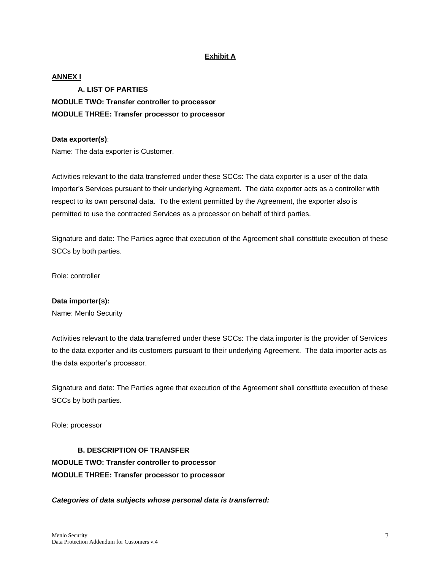## **Exhibit A**

## **ANNEX I**

**A. LIST OF PARTIES MODULE TWO: Transfer controller to processor MODULE THREE: Transfer processor to processor**

#### **Data exporter(s)**:

Name: The data exporter is Customer.

Activities relevant to the data transferred under these SCCs: The data exporter is a user of the data importer's Services pursuant to their underlying Agreement. The data exporter acts as a controller with respect to its own personal data. To the extent permitted by the Agreement, the exporter also is permitted to use the contracted Services as a processor on behalf of third parties.

Signature and date: The Parties agree that execution of the Agreement shall constitute execution of these SCCs by both parties.

Role: controller

#### **Data importer(s):**

Name: Menlo Security

Activities relevant to the data transferred under these SCCs: The data importer is the provider of Services to the data exporter and its customers pursuant to their underlying Agreement. The data importer acts as the data exporter's processor.

Signature and date: The Parties agree that execution of the Agreement shall constitute execution of these SCCs by both parties.

Role: processor

**B. DESCRIPTION OF TRANSFER MODULE TWO: Transfer controller to processor MODULE THREE: Transfer processor to processor**

*Categories of data subjects whose personal data is transferred:*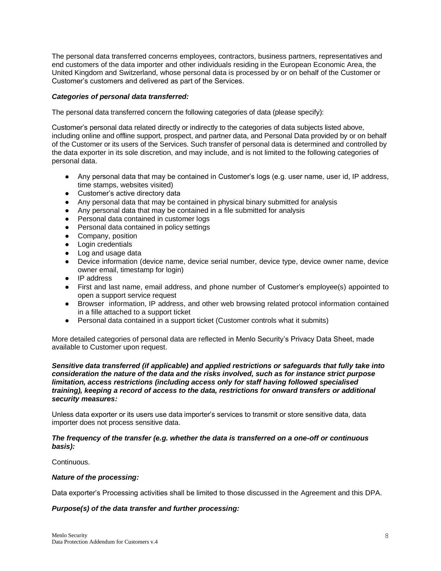The personal data transferred concerns employees, contractors, business partners, representatives and end customers of the data importer and other individuals residing in the European Economic Area, the United Kingdom and Switzerland, whose personal data is processed by or on behalf of the Customer or Customer's customers and delivered as part of the Services.

### *Categories of personal data transferred:*

The personal data transferred concern the following categories of data (please specify):

Customer's personal data related directly or indirectly to the categories of data subjects listed above, including online and offline support, prospect, and partner data, and Personal Data provided by or on behalf of the Customer or its users of the Services. Such transfer of personal data is determined and controlled by the data exporter in its sole discretion, and may include, and is not limited to the following categories of personal data.

- Any personal data that may be contained in Customer's logs (e.g. user name, user id, IP address, time stamps, websites visited)
- Customer's active directory data
- Any personal data that may be contained in physical binary submitted for analysis
- Any personal data that may be contained in a file submitted for analysis
- Personal data contained in customer logs
- Personal data contained in policy settings
- Company, position
- Login credentials
- Log and usage data
- Device information (device name, device serial number, device type, device owner name, device owner email, timestamp for login)
- IP address
- First and last name, email address, and phone number of Customer's employee(s) appointed to open a support service request
- Browser information, IP address, and other web browsing related protocol information contained in a fille attached to a support ticket
- Personal data contained in a support ticket (Customer controls what it submits)

More detailed categories of personal data are reflected in Menlo Security's Privacy Data Sheet, made available to Customer upon request.

#### *Sensitive data transferred (if applicable) and applied restrictions or safeguards that fully take into consideration the nature of the data and the risks involved, such as for instance strict purpose limitation, access restrictions (including access only for staff having followed specialised training), keeping a record of access to the data, restrictions for onward transfers or additional security measures:*

Unless data exporter or its users use data importer's services to transmit or store sensitive data, data importer does not process sensitive data.

#### *The frequency of the transfer (e.g. whether the data is transferred on a one-off or continuous basis):*

#### Continuous.

#### *Nature of the processing:*

Data exporter's Processing activities shall be limited to those discussed in the Agreement and this DPA.

#### *Purpose(s) of the data transfer and further processing:*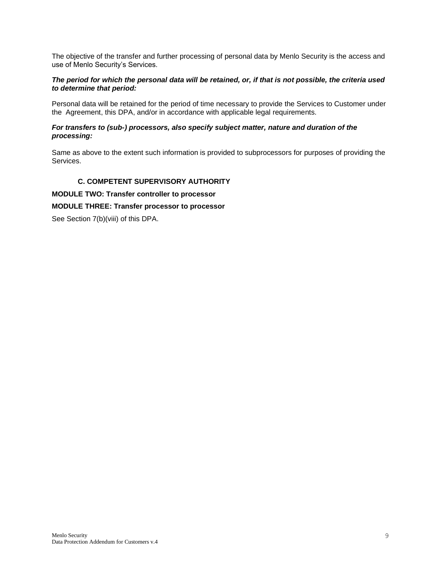The objective of the transfer and further processing of personal data by Menlo Security is the access and use of Menlo Security's Services.

### *The period for which the personal data will be retained, or, if that is not possible, the criteria used to determine that period:*

Personal data will be retained for the period of time necessary to provide the Services to Customer under the Agreement, this DPA, and/or in accordance with applicable legal requirements.

## *For transfers to (sub-) processors, also specify subject matter, nature and duration of the processing:*

Same as above to the extent such information is provided to subprocessors for purposes of providing the Services.

## **C. COMPETENT SUPERVISORY AUTHORITY**

**MODULE TWO: Transfer controller to processor**

## **MODULE THREE: Transfer processor to processor**

See Section 7(b)(viii) of this DPA.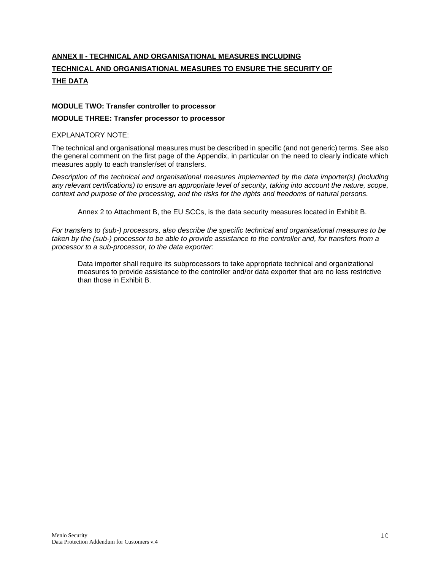# **ANNEX II - TECHNICAL AND ORGANISATIONAL MEASURES INCLUDING TECHNICAL AND ORGANISATIONAL MEASURES TO ENSURE THE SECURITY OF THE DATA**

## **MODULE TWO: Transfer controller to processor**

#### **MODULE THREE: Transfer processor to processor**

### EXPLANATORY NOTE:

The technical and organisational measures must be described in specific (and not generic) terms. See also the general comment on the first page of the Appendix, in particular on the need to clearly indicate which measures apply to each transfer/set of transfers.

*Description of the technical and organisational measures implemented by the data importer(s) (including any relevant certifications) to ensure an appropriate level of security, taking into account the nature, scope, context and purpose of the processing, and the risks for the rights and freedoms of natural persons.*

Annex 2 to Attachment B, the EU SCCs, is the data security measures located in Exhibit B.

*For transfers to (sub-) processors, also describe the specific technical and organisational measures to be taken by the (sub-) processor to be able to provide assistance to the controller and, for transfers from a processor to a sub-processor, to the data exporter:* 

Data importer shall require its subprocessors to take appropriate technical and organizational measures to provide assistance to the controller and/or data exporter that are no less restrictive than those in Exhibit B.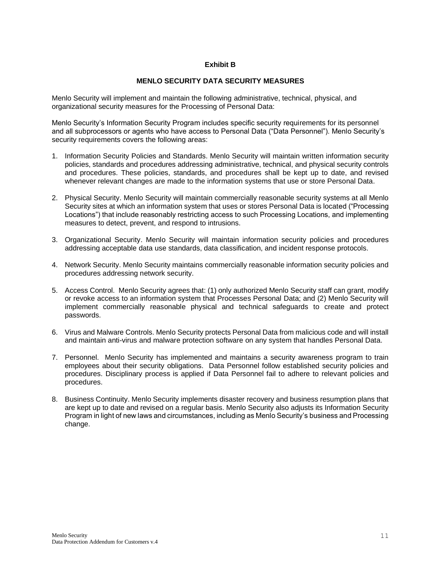## **Exhibit B**

## **MENLO SECURITY DATA SECURITY MEASURES**

Menlo Security will implement and maintain the following administrative, technical, physical, and organizational security measures for the Processing of Personal Data:

Menlo Security's Information Security Program includes specific security requirements for its personnel and all subprocessors or agents who have access to Personal Data ("Data Personnel"). Menlo Security's security requirements covers the following areas:

- 1. Information Security Policies and Standards. Menlo Security will maintain written information security policies, standards and procedures addressing administrative, technical, and physical security controls and procedures. These policies, standards, and procedures shall be kept up to date, and revised whenever relevant changes are made to the information systems that use or store Personal Data.
- 2. Physical Security. Menlo Security will maintain commercially reasonable security systems at all Menlo Security sites at which an information system that uses or stores Personal Data is located ("Processing Locations") that include reasonably restricting access to such Processing Locations, and implementing measures to detect, prevent, and respond to intrusions.
- 3. Organizational Security. Menlo Security will maintain information security policies and procedures addressing acceptable data use standards, data classification, and incident response protocols.
- 4. Network Security. Menlo Security maintains commercially reasonable information security policies and procedures addressing network security.
- 5. Access Control. Menlo Security agrees that: (1) only authorized Menlo Security staff can grant, modify or revoke access to an information system that Processes Personal Data; and (2) Menlo Security will implement commercially reasonable physical and technical safeguards to create and protect passwords.
- 6. Virus and Malware Controls. Menlo Security protects Personal Data from malicious code and will install and maintain anti-virus and malware protection software on any system that handles Personal Data.
- 7. Personnel. Menlo Security has implemented and maintains a security awareness program to train employees about their security obligations. Data Personnel follow established security policies and procedures. Disciplinary process is applied if Data Personnel fail to adhere to relevant policies and procedures.
- 8. Business Continuity. Menlo Security implements disaster recovery and business resumption plans that are kept up to date and revised on a regular basis. Menlo Security also adjusts its Information Security Program in light of new laws and circumstances, including as Menlo Security's business and Processing change.